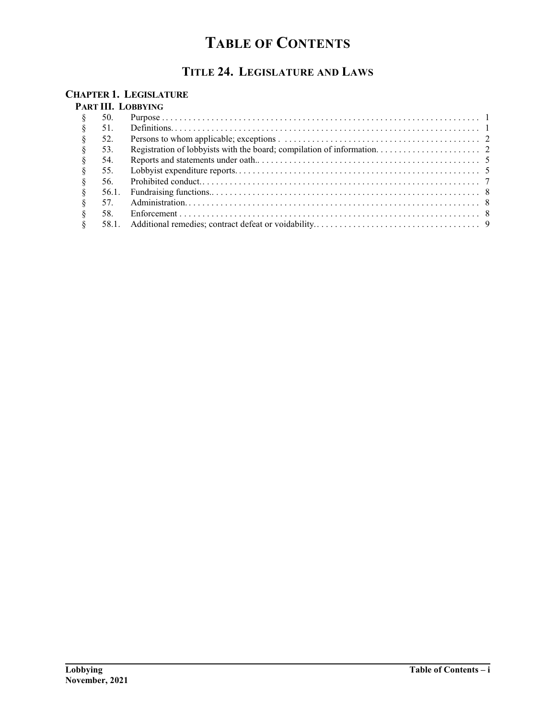# **TABLE OF CONTENTS**

# **TITLE 24. LEGISLATURE AND LAWS**

### **CHAPTER 1. LEGISLATURE**

### **PART III. LOBBYING**

| 50.   |  |
|-------|--|
| 51.   |  |
| 52.   |  |
| 53.   |  |
| 54.   |  |
| 55.   |  |
| 56.   |  |
| 56.1. |  |
| 57.   |  |
| 58.   |  |
| 58.1. |  |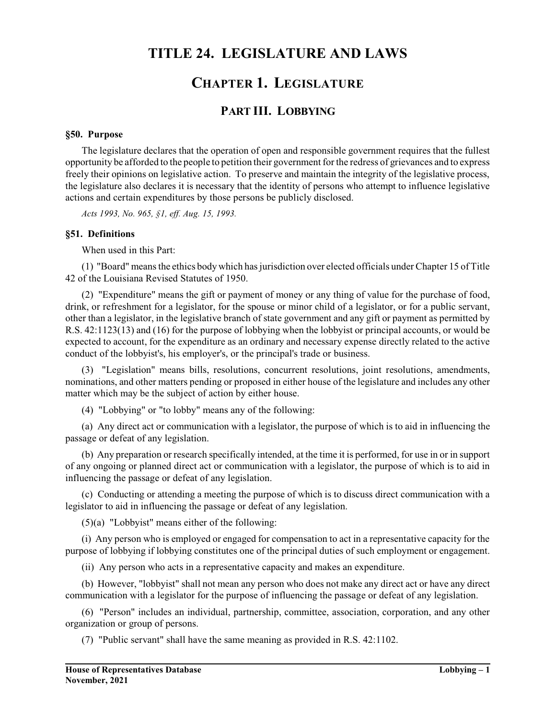## **TITLE 24. LEGISLATURE AND LAWS**

## **CHAPTER 1. LEGISLATURE**

## **PART III. LOBBYING**

#### **§50. Purpose**

The legislature declares that the operation of open and responsible government requires that the fullest opportunity be afforded to the people to petition their governmentfor the redress of grievances and to express freely their opinions on legislative action. To preserve and maintain the integrity of the legislative process, the legislature also declares it is necessary that the identity of persons who attempt to influence legislative actions and certain expenditures by those persons be publicly disclosed.

*Acts 1993, No. 965, §1, eff. Aug. 15, 1993.*

#### **§51. Definitions**

When used in this Part:

(1) "Board" means the ethics body which has jurisdiction over elected officials under Chapter 15 of Title 42 of the Louisiana Revised Statutes of 1950.

(2) "Expenditure" means the gift or payment of money or any thing of value for the purchase of food, drink, or refreshment for a legislator, for the spouse or minor child of a legislator, or for a public servant, other than a legislator, in the legislative branch of state government and any gift or payment as permitted by R.S. 42:1123(13) and (16) for the purpose of lobbying when the lobbyist or principal accounts, or would be expected to account, for the expenditure as an ordinary and necessary expense directly related to the active conduct of the lobbyist's, his employer's, or the principal's trade or business.

(3) "Legislation" means bills, resolutions, concurrent resolutions, joint resolutions, amendments, nominations, and other matters pending or proposed in either house of the legislature and includes any other matter which may be the subject of action by either house.

(4) "Lobbying" or "to lobby" means any of the following:

(a) Any direct act or communication with a legislator, the purpose of which is to aid in influencing the passage or defeat of any legislation.

(b) Any preparation or research specifically intended, at the time it is performed, for use in or in support of any ongoing or planned direct act or communication with a legislator, the purpose of which is to aid in influencing the passage or defeat of any legislation.

(c) Conducting or attending a meeting the purpose of which is to discuss direct communication with a legislator to aid in influencing the passage or defeat of any legislation.

(5)(a) "Lobbyist" means either of the following:

(i) Any person who is employed or engaged for compensation to act in a representative capacity for the purpose of lobbying if lobbying constitutes one of the principal duties of such employment or engagement.

(ii) Any person who acts in a representative capacity and makes an expenditure.

(b) However, "lobbyist" shall not mean any person who does not make any direct act or have any direct communication with a legislator for the purpose of influencing the passage or defeat of any legislation.

(6) "Person" includes an individual, partnership, committee, association, corporation, and any other organization or group of persons.

(7) "Public servant" shall have the same meaning as provided in R.S. 42:1102.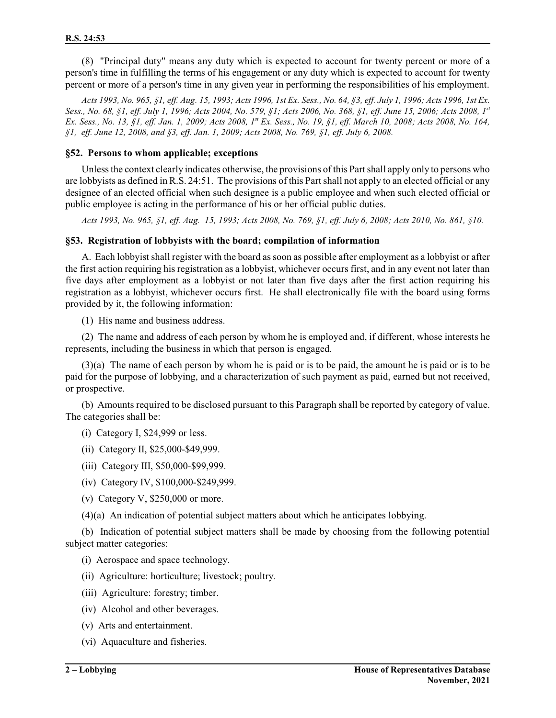(8) "Principal duty" means any duty which is expected to account for twenty percent or more of a person's time in fulfilling the terms of his engagement or any duty which is expected to account for twenty percent or more of a person's time in any given year in performing the responsibilities of his employment.

*Acts 1993, No. 965, §1, eff. Aug. 15, 1993; Acts 1996, 1st Ex. Sess., No. 64, §3, eff. July 1, 1996; Acts 1996, 1st Ex. Sess., No. 68, §1, eff. July 1, 1996; Acts 2004, No. 579, §1; Acts 2006, No. 368, §1, eff. June 15, 2006; Acts 2008, 1st Ex. Sess., No. 13, §1, eff. Jan. 1, 2009; Acts 2008, 1st Ex. Sess., No. 19, §1, eff. March 10, 2008; Acts 2008, No. 164, §1, eff. June 12, 2008, and §3, eff. Jan. 1, 2009; Acts 2008, No. 769, §1, eff. July 6, 2008.*

#### **§52. Persons to whom applicable; exceptions**

Unless the context clearly indicates otherwise, the provisions of this Part shall apply only to persons who are lobbyists as defined in R.S. 24:51. The provisions of this Partshall not apply to an elected official or any designee of an elected official when such designee is a public employee and when such elected official or public employee is acting in the performance of his or her official public duties.

*Acts 1993, No. 965, §1, eff. Aug. 15, 1993; Acts 2008, No. 769, §1, eff. July 6, 2008; Acts 2010, No. 861, §10.*

#### **§53. Registration of lobbyists with the board; compilation of information**

A. Each lobbyist shall register with the board as soon as possible after employment as a lobbyist or after the first action requiring his registration as a lobbyist, whichever occurs first, and in any event not later than five days after employment as a lobbyist or not later than five days after the first action requiring his registration as a lobbyist, whichever occurs first. He shall electronically file with the board using forms provided by it, the following information:

(1) His name and business address.

(2) The name and address of each person by whom he is employed and, if different, whose interests he represents, including the business in which that person is engaged.

(3)(a) The name of each person by whom he is paid or is to be paid, the amount he is paid or is to be paid for the purpose of lobbying, and a characterization of such payment as paid, earned but not received, or prospective.

(b) Amounts required to be disclosed pursuant to this Paragraph shall be reported by category of value. The categories shall be:

- (i) Category I, \$24,999 or less.
- (ii) Category II, \$25,000-\$49,999.
- (iii) Category III, \$50,000-\$99,999.
- (iv) Category IV, \$100,000-\$249,999.
- (v) Category V, \$250,000 or more.
- (4)(a) An indication of potential subject matters about which he anticipates lobbying.

(b) Indication of potential subject matters shall be made by choosing from the following potential subject matter categories:

- (i) Aerospace and space technology.
- (ii) Agriculture: horticulture; livestock; poultry.
- (iii) Agriculture: forestry; timber.
- (iv) Alcohol and other beverages.
- (v) Arts and entertainment.
- (vi) Aquaculture and fisheries.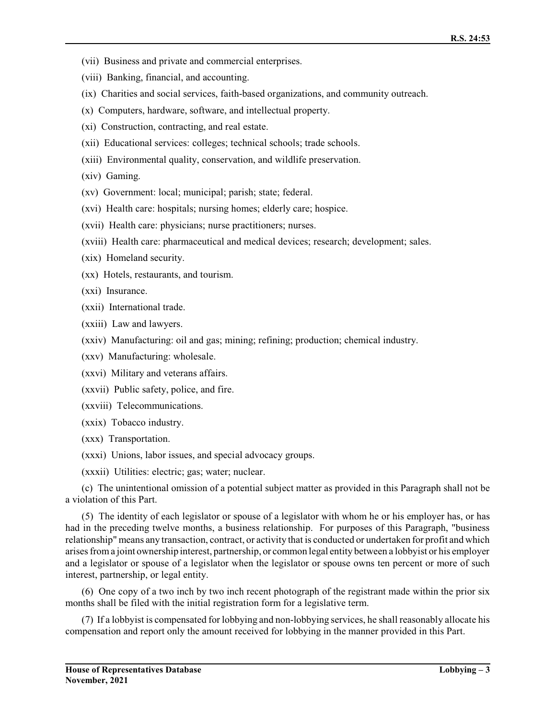- (vii) Business and private and commercial enterprises.
- (viii) Banking, financial, and accounting.
- (ix) Charities and social services, faith-based organizations, and community outreach.
- (x) Computers, hardware, software, and intellectual property.
- (xi) Construction, contracting, and real estate.
- (xii) Educational services: colleges; technical schools; trade schools.
- (xiii) Environmental quality, conservation, and wildlife preservation.
- (xiv) Gaming.
- (xv) Government: local; municipal; parish; state; federal.
- (xvi) Health care: hospitals; nursing homes; elderly care; hospice.
- (xvii) Health care: physicians; nurse practitioners; nurses.
- (xviii) Health care: pharmaceutical and medical devices; research; development; sales.
- (xix) Homeland security.
- (xx) Hotels, restaurants, and tourism.
- (xxi) Insurance.
- (xxii) International trade.
- (xxiii) Law and lawyers.
- (xxiv) Manufacturing: oil and gas; mining; refining; production; chemical industry.
- (xxv) Manufacturing: wholesale.
- (xxvi) Military and veterans affairs.
- (xxvii) Public safety, police, and fire.
- (xxviii) Telecommunications.
- (xxix) Tobacco industry.
- (xxx) Transportation.
- (xxxi) Unions, labor issues, and special advocacy groups.
- (xxxii) Utilities: electric; gas; water; nuclear.

(c) The unintentional omission of a potential subject matter as provided in this Paragraph shall not be a violation of this Part.

(5) The identity of each legislator or spouse of a legislator with whom he or his employer has, or has had in the preceding twelve months, a business relationship. For purposes of this Paragraph, "business relationship" means any transaction, contract, or activity that is conducted or undertaken for profit and which arises froma joint ownership interest, partnership, or common legal entity between a lobbyist or his employer and a legislator or spouse of a legislator when the legislator or spouse owns ten percent or more of such interest, partnership, or legal entity.

(6) One copy of a two inch by two inch recent photograph of the registrant made within the prior six months shall be filed with the initial registration form for a legislative term.

(7) If a lobbyist is compensated for lobbying and non-lobbying services, he shall reasonably allocate his compensation and report only the amount received for lobbying in the manner provided in this Part.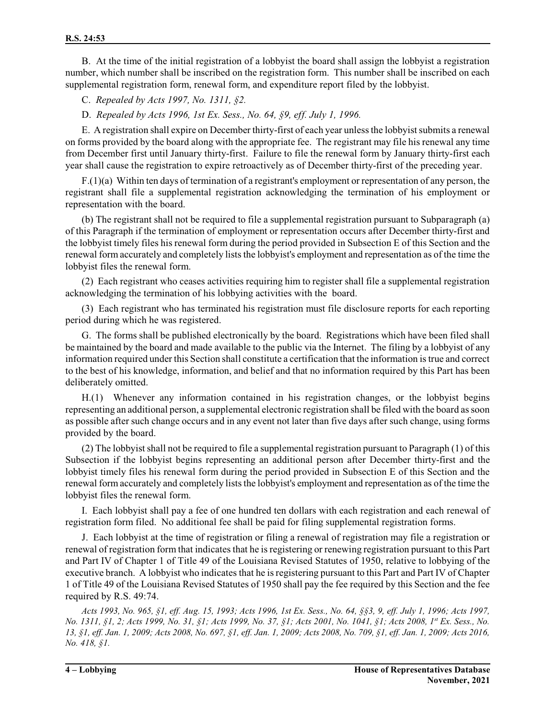B. At the time of the initial registration of a lobbyist the board shall assign the lobbyist a registration number, which number shall be inscribed on the registration form. This number shall be inscribed on each supplemental registration form, renewal form, and expenditure report filed by the lobbyist.

C. *Repealed by Acts 1997, No. 1311, §2.*

D. *Repealed by Acts 1996, 1st Ex. Sess., No. 64, §9, eff. July 1, 1996.*

E. A registration shall expire on December thirty-first of each year unless the lobbyist submits a renewal on forms provided by the board along with the appropriate fee. The registrant may file his renewal any time from December first until January thirty-first. Failure to file the renewal form by January thirty-first each year shall cause the registration to expire retroactively as of December thirty-first of the preceding year.

 $F(1)(a)$  Within ten days of termination of a registrant's employment or representation of any person, the registrant shall file a supplemental registration acknowledging the termination of his employment or representation with the board.

(b) The registrant shall not be required to file a supplemental registration pursuant to Subparagraph (a) of this Paragraph if the termination of employment or representation occurs after December thirty-first and the lobbyist timely files his renewal form during the period provided in Subsection E of this Section and the renewal form accurately and completely lists the lobbyist's employment and representation as of the time the lobbyist files the renewal form.

(2) Each registrant who ceases activities requiring him to register shall file a supplemental registration acknowledging the termination of his lobbying activities with the board.

(3) Each registrant who has terminated his registration must file disclosure reports for each reporting period during which he was registered.

G. The forms shall be published electronically by the board. Registrations which have been filed shall be maintained by the board and made available to the public via the Internet. The filing by a lobbyist of any information required under this Section shall constitute a certification that the information is true and correct to the best of his knowledge, information, and belief and that no information required by this Part has been deliberately omitted.

H.(1) Whenever any information contained in his registration changes, or the lobbyist begins representing an additional person, a supplemental electronic registration shall be filed with the board as soon as possible after such change occurs and in any event not later than five days after such change, using forms provided by the board.

(2) The lobbyistshall not be required to file a supplemental registration pursuant to Paragraph (1) of this Subsection if the lobbyist begins representing an additional person after December thirty-first and the lobbyist timely files his renewal form during the period provided in Subsection E of this Section and the renewal form accurately and completely lists the lobbyist's employment and representation as of the time the lobbyist files the renewal form.

I. Each lobbyist shall pay a fee of one hundred ten dollars with each registration and each renewal of registration form filed. No additional fee shall be paid for filing supplemental registration forms.

J. Each lobbyist at the time of registration or filing a renewal of registration may file a registration or renewal of registration form that indicates that he is registering or renewing registration pursuant to this Part and Part IV of Chapter 1 of Title 49 of the Louisiana Revised Statutes of 1950, relative to lobbying of the executive branch. A lobbyist who indicates that he is registering pursuant to this Part and Part IV of Chapter 1 of Title 49 of the Louisiana Revised Statutes of 1950 shall pay the fee required by this Section and the fee required by R.S. 49:74.

*Acts 1993, No. 965, §1, eff. Aug. 15, 1993; Acts 1996, 1st Ex. Sess., No. 64, §§3, 9, eff. July 1, 1996; Acts 1997, No. 1311, §1, 2; Acts 1999, No. 31, §1; Acts 1999, No. 37, §1; Acts 2001, No. 1041, §1; Acts 2008, 1st Ex. Sess., No. 13, §1, eff. Jan. 1, 2009; Acts 2008, No. 697, §1, eff. Jan. 1, 2009; Acts 2008, No. 709, §1, eff. Jan. 1, 2009; Acts 2016, No. 418, §1.*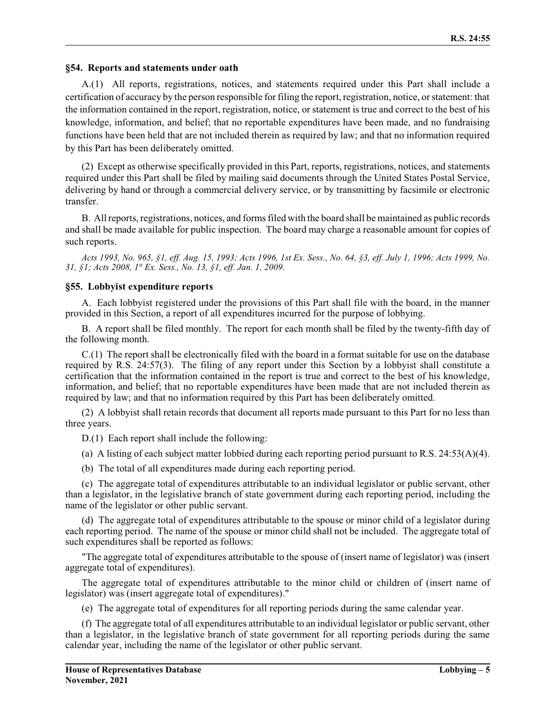#### **§54. Reports and statements under oath**

A.(1) All reports, registrations, notices, and statements required under this Part shall include a certification of accuracy by the person responsible for filing the report, registration, notice, orstatement: that the information contained in the report, registration, notice, or statement is true and correct to the best of his knowledge, information, and belief; that no reportable expenditures have been made, and no fundraising functions have been held that are not included therein as required by law; and that no information required by this Part has been deliberately omitted.

(2) Except as otherwise specifically provided in this Part, reports, registrations, notices, and statements required under this Part shall be filed by mailing said documents through the United States Postal Service, delivering by hand or through a commercial delivery service, or by transmitting by facsimile or electronic transfer.

B. Allreports, registrations, notices, and forms filed with the board shall be maintained as public records and shall be made available for public inspection. The board may charge a reasonable amount for copies of such reports.

*Acts 1993, No. 965, §1, eff. Aug. 15, 1993; Acts 1996, 1st Ex. Sess., No. 64, §3, eff. July 1, 1996; Acts 1999, No. 31, §1; Acts 2008, 1st Ex. Sess., No. 13, §1, eff. Jan. 1, 2009.*

#### **§55. Lobbyist expenditure reports**

A. Each lobbyist registered under the provisions of this Part shall file with the board, in the manner provided in this Section, a report of all expenditures incurred for the purpose of lobbying.

B. A report shall be filed monthly. The report for each month shall be filed by the twenty-fifth day of the following month.

C.(1) The report shall be electronically filed with the board in a format suitable for use on the database required by R.S. 24:57(3). The filing of any report under this Section by a lobbyist shall constitute a certification that the information contained in the report is true and correct to the best of his knowledge, information, and belief; that no reportable expenditures have been made that are not included therein as required by law; and that no information required by this Part has been deliberately omitted.

(2) A lobbyist shall retain records that document all reports made pursuant to this Part for no less than three years.

D.(1) Each report shall include the following:

(a) A listing of each subject matter lobbied during each reporting period pursuant to R.S. 24:53(A)(4).

(b) The total of all expenditures made during each reporting period.

(c) The aggregate total of expenditures attributable to an individual legislator or public servant, other than a legislator, in the legislative branch of state government during each reporting period, including the name of the legislator or other public servant.

(d) The aggregate total of expenditures attributable to the spouse or minor child of a legislator during each reporting period. The name of the spouse or minor child shall not be included. The aggregate total of such expenditures shall be reported as follows:

"The aggregate total of expenditures attributable to the spouse of (insert name of legislator) was (insert aggregate total of expenditures).

The aggregate total of expenditures attributable to the minor child or children of (insert name of legislator) was (insert aggregate total of expenditures)."

(e) The aggregate total of expenditures for all reporting periods during the same calendar year.

(f) The aggregate total of all expenditures attributable to an individual legislator or public servant, other than a legislator, in the legislative branch of state government for all reporting periods during the same calendar year, including the name of the legislator or other public servant.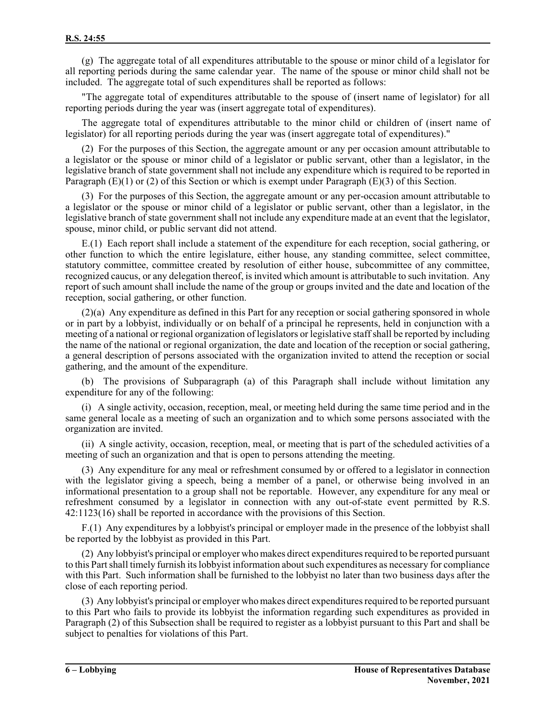(g) The aggregate total of all expenditures attributable to the spouse or minor child of a legislator for all reporting periods during the same calendar year. The name of the spouse or minor child shall not be included. The aggregate total of such expenditures shall be reported as follows:

"The aggregate total of expenditures attributable to the spouse of (insert name of legislator) for all reporting periods during the year was (insert aggregate total of expenditures).

The aggregate total of expenditures attributable to the minor child or children of (insert name of legislator) for all reporting periods during the year was (insert aggregate total of expenditures)."

(2) For the purposes of this Section, the aggregate amount or any per occasion amount attributable to a legislator or the spouse or minor child of a legislator or public servant, other than a legislator, in the legislative branch of state government shall not include any expenditure which is required to be reported in Paragraph (E)(1) or (2) of this Section or which is exempt under Paragraph (E)(3) of this Section.

(3) For the purposes of this Section, the aggregate amount or any per-occasion amount attributable to a legislator or the spouse or minor child of a legislator or public servant, other than a legislator, in the legislative branch of state government shall not include any expenditure made at an event that the legislator, spouse, minor child, or public servant did not attend.

E.(1) Each report shall include a statement of the expenditure for each reception, social gathering, or other function to which the entire legislature, either house, any standing committee, select committee, statutory committee, committee created by resolution of either house, subcommittee of any committee, recognized caucus, or any delegation thereof, is invited which amount is attributable to such invitation. Any report of such amount shall include the name of the group or groups invited and the date and location of the reception, social gathering, or other function.

(2)(a) Any expenditure as defined in this Part for any reception or social gathering sponsored in whole or in part by a lobbyist, individually or on behalf of a principal he represents, held in conjunction with a meeting of a national or regional organization of legislators or legislative staffshall be reported by including the name of the national or regional organization, the date and location of the reception or social gathering, a general description of persons associated with the organization invited to attend the reception or social gathering, and the amount of the expenditure.

(b) The provisions of Subparagraph (a) of this Paragraph shall include without limitation any expenditure for any of the following:

(i) A single activity, occasion, reception, meal, or meeting held during the same time period and in the same general locale as a meeting of such an organization and to which some persons associated with the organization are invited.

(ii) A single activity, occasion, reception, meal, or meeting that is part of the scheduled activities of a meeting of such an organization and that is open to persons attending the meeting.

(3) Any expenditure for any meal or refreshment consumed by or offered to a legislator in connection with the legislator giving a speech, being a member of a panel, or otherwise being involved in an informational presentation to a group shall not be reportable. However, any expenditure for any meal or refreshment consumed by a legislator in connection with any out-of-state event permitted by R.S. 42:1123(16) shall be reported in accordance with the provisions of this Section.

F.(1) Any expenditures by a lobbyist's principal or employer made in the presence of the lobbyist shall be reported by the lobbyist as provided in this Part.

(2) Any lobbyist's principal or employer who makes direct expenditures required to be reported pursuant to this Partshall timely furnish its lobbyist information aboutsuch expenditures as necessary for compliance with this Part. Such information shall be furnished to the lobbyist no later than two business days after the close of each reporting period.

(3) Any lobbyist's principal or employer who makes direct expenditures required to be reported pursuant to this Part who fails to provide its lobbyist the information regarding such expenditures as provided in Paragraph (2) of this Subsection shall be required to register as a lobbyist pursuant to this Part and shall be subject to penalties for violations of this Part.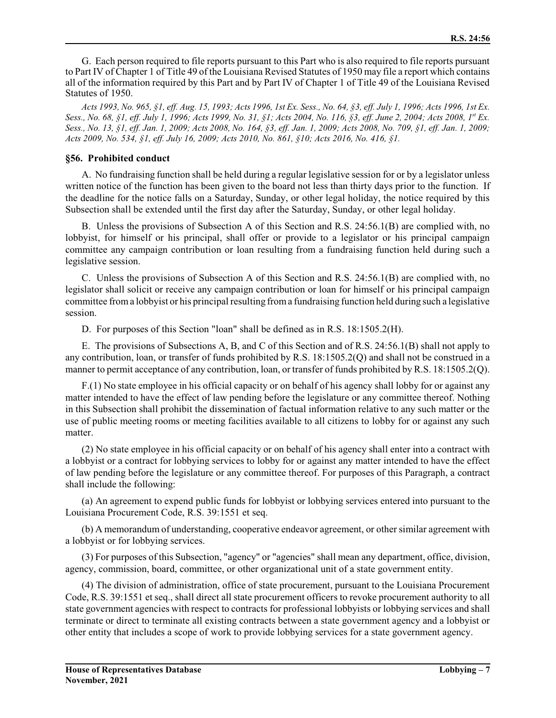G. Each person required to file reports pursuant to this Part who is also required to file reports pursuant to Part IV of Chapter 1 of Title 49 of the Louisiana Revised Statutes of 1950 may file a report which contains all of the information required by this Part and by Part IV of Chapter 1 of Title 49 of the Louisiana Revised Statutes of 1950.

*Acts 1993, No. 965, §1, eff. Aug. 15, 1993; Acts 1996, 1st Ex. Sess., No. 64, §3, eff. July 1, 1996; Acts 1996, 1st Ex. Sess., No. 68, §1, eff. July 1, 1996; Acts 1999, No. 31, §1; Acts 2004, No. 116, §3, eff. June 2, 2004; Acts 2008, 1 st Ex. Sess., No. 13, §1, eff. Jan. 1, 2009; Acts 2008, No. 164, §3, eff. Jan. 1, 2009; Acts 2008, No. 709, §1, eff. Jan. 1, 2009; Acts 2009, No. 534, §1, eff. July 16, 2009; Acts 2010, No. 861, §10; Acts 2016, No. 416, §1.*

#### **§56. Prohibited conduct**

A. No fundraising function shall be held during a regular legislative session for or by a legislator unless written notice of the function has been given to the board not less than thirty days prior to the function. If the deadline for the notice falls on a Saturday, Sunday, or other legal holiday, the notice required by this Subsection shall be extended until the first day after the Saturday, Sunday, or other legal holiday.

B. Unless the provisions of Subsection A of this Section and R.S. 24:56.1(B) are complied with, no lobbyist, for himself or his principal, shall offer or provide to a legislator or his principal campaign committee any campaign contribution or loan resulting from a fundraising function held during such a legislative session.

C. Unless the provisions of Subsection A of this Section and R.S. 24:56.1(B) are complied with, no legislator shall solicit or receive any campaign contribution or loan for himself or his principal campaign committee froma lobbyist or his principal resulting froma fundraising function held during such a legislative session.

D. For purposes of this Section "loan" shall be defined as in R.S. 18:1505.2(H).

E. The provisions of Subsections A, B, and C of this Section and of R.S. 24:56.1(B) shall not apply to any contribution, loan, or transfer of funds prohibited by R.S. 18:1505.2(Q) and shall not be construed in a manner to permit acceptance of any contribution, loan, or transfer of funds prohibited by R.S. 18:1505.2(Q).

F.(1) No state employee in his official capacity or on behalf of his agency shall lobby for or against any matter intended to have the effect of law pending before the legislature or any committee thereof. Nothing in this Subsection shall prohibit the dissemination of factual information relative to any such matter or the use of public meeting rooms or meeting facilities available to all citizens to lobby for or against any such matter.

(2) No state employee in his official capacity or on behalf of his agency shall enter into a contract with a lobbyist or a contract for lobbying services to lobby for or against any matter intended to have the effect of law pending before the legislature or any committee thereof. For purposes of this Paragraph, a contract shall include the following:

(a) An agreement to expend public funds for lobbyist or lobbying services entered into pursuant to the Louisiana Procurement Code, R.S. 39:1551 et seq.

(b) A memorandum of understanding, cooperative endeavor agreement, or other similar agreement with a lobbyist or for lobbying services.

(3) For purposes of this Subsection, "agency" or "agencies" shall mean any department, office, division, agency, commission, board, committee, or other organizational unit of a state government entity.

(4) The division of administration, office of state procurement, pursuant to the Louisiana Procurement Code, R.S. 39:1551 et seq., shall direct all state procurement officers to revoke procurement authority to all state government agencies with respect to contracts for professional lobbyists or lobbying services and shall terminate or direct to terminate all existing contracts between a state government agency and a lobbyist or other entity that includes a scope of work to provide lobbying services for a state government agency.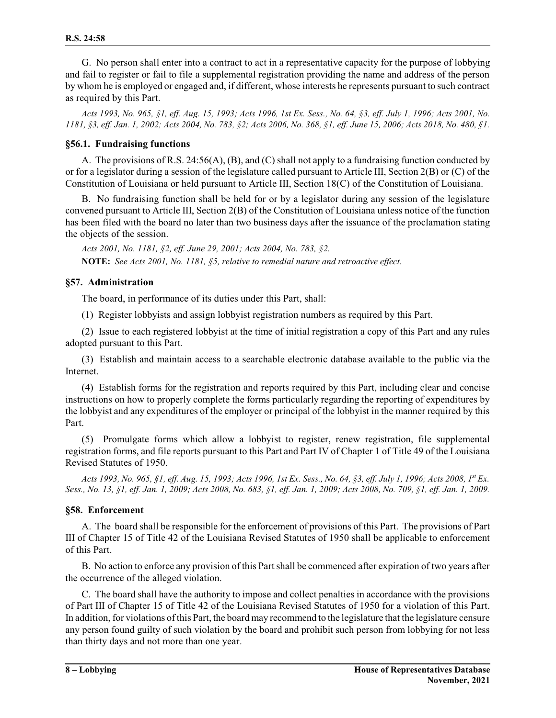G. No person shall enter into a contract to act in a representative capacity for the purpose of lobbying and fail to register or fail to file a supplemental registration providing the name and address of the person by whom he is employed or engaged and, if different, whose interests he represents pursuant to such contract as required by this Part.

*Acts 1993, No. 965, §1, eff. Aug. 15, 1993; Acts 1996, 1st Ex. Sess., No. 64, §3, eff. July 1, 1996; Acts 2001, No. 1181, §3, eff. Jan. 1, 2002; Acts 2004, No. 783, §2; Acts 2006, No. 368, §1, eff. June 15, 2006; Acts 2018, No. 480, §1.*

#### **§56.1. Fundraising functions**

A. The provisions of R.S. 24:56(A), (B), and (C) shall not apply to a fundraising function conducted by or for a legislator during a session of the legislature called pursuant to Article III, Section 2(B) or (C) of the Constitution of Louisiana or held pursuant to Article III, Section 18(C) of the Constitution of Louisiana.

B. No fundraising function shall be held for or by a legislator during any session of the legislature convened pursuant to Article III, Section 2(B) of the Constitution of Louisiana unless notice of the function has been filed with the board no later than two business days after the issuance of the proclamation stating the objects of the session.

*Acts 2001, No. 1181, §2, eff. June 29, 2001; Acts 2004, No. 783, §2.* **NOTE:** *See Acts 2001, No. 1181, §5, relative to remedial nature and retroactive effect.*

#### **§57. Administration**

The board, in performance of its duties under this Part, shall:

(1) Register lobbyists and assign lobbyist registration numbers as required by this Part.

(2) Issue to each registered lobbyist at the time of initial registration a copy of this Part and any rules adopted pursuant to this Part.

(3) Establish and maintain access to a searchable electronic database available to the public via the Internet.

(4) Establish forms for the registration and reports required by this Part, including clear and concise instructions on how to properly complete the forms particularly regarding the reporting of expenditures by the lobbyist and any expenditures of the employer or principal of the lobbyist in the manner required by this Part.

(5) Promulgate forms which allow a lobbyist to register, renew registration, file supplemental registration forms, and file reports pursuant to this Part and Part IV of Chapter 1 of Title 49 of the Louisiana Revised Statutes of 1950.

*Acts 1993, No. 965, §1, eff. Aug. 15, 1993; Acts 1996, 1st Ex. Sess., No. 64, §3, eff. July 1, 1996; Acts 2008, 1 st Ex. Sess., No. 13, §1, eff. Jan. 1, 2009; Acts 2008, No. 683, §1, eff. Jan. 1, 2009; Acts 2008, No. 709, §1, eff. Jan. 1, 2009.*

#### **§58. Enforcement**

A. The board shall be responsible for the enforcement of provisions of this Part. The provisions of Part III of Chapter 15 of Title 42 of the Louisiana Revised Statutes of 1950 shall be applicable to enforcement of this Part.

B. No action to enforce any provision of this Partshall be commenced after expiration of two years after the occurrence of the alleged violation.

C. The board shall have the authority to impose and collect penalties in accordance with the provisions of Part III of Chapter 15 of Title 42 of the Louisiana Revised Statutes of 1950 for a violation of this Part. In addition, for violations ofthis Part, the board may recommend to the legislature that the legislature censure any person found guilty of such violation by the board and prohibit such person from lobbying for not less than thirty days and not more than one year.